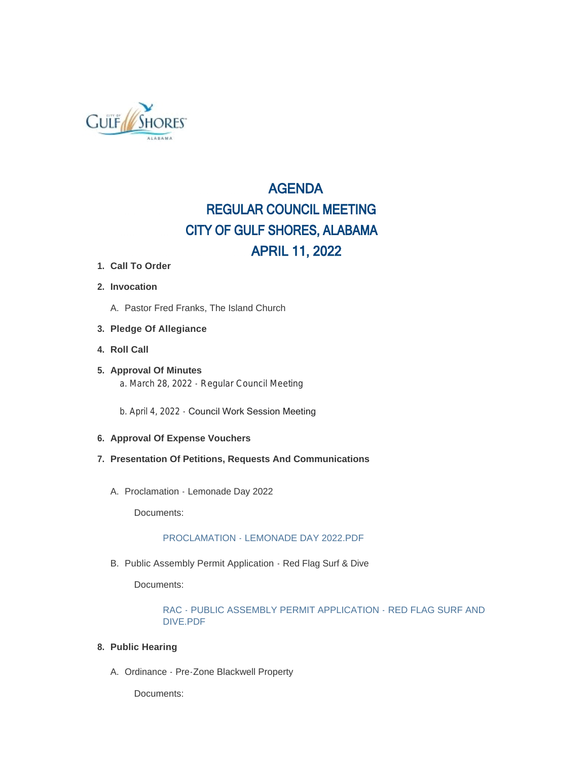

# AGENDA REGULAR COUNCIL MEETING CITY OF GULF SHORES, ALABAMA APRIL 11, 2022

- **Call To Order 1.**
- **Invocation 2.**
	- A. Pastor Fred Franks, The Island Church
- **Pledge Of Allegiance 3.**
- **Roll Call 4.**
- **Approval Of Minutes 5.** a. March 28, 2022 - Regular Council Meeting
	- b. April 4, 2022 Council Work Session Meeting
- **Approval Of Expense Vouchers 6.**
- **Presentation Of Petitions, Requests And Communications 7.**
	- A. Proclamation Lemonade Day 2022

Documents:

#### PROCLAMATION - LEMONADE DAY 2022.PDF

B. Public Assembly Permit Application - Red Flag Surf & Dive

Documents:

#### RAC - PUBLIC ASSEMBLY PERMIT APPLICATION - RED FLAG SURF AND DIVE.PDF

- **Public Hearing 8.**
	- A. Ordinance Pre-Zone Blackwell Property

Documents: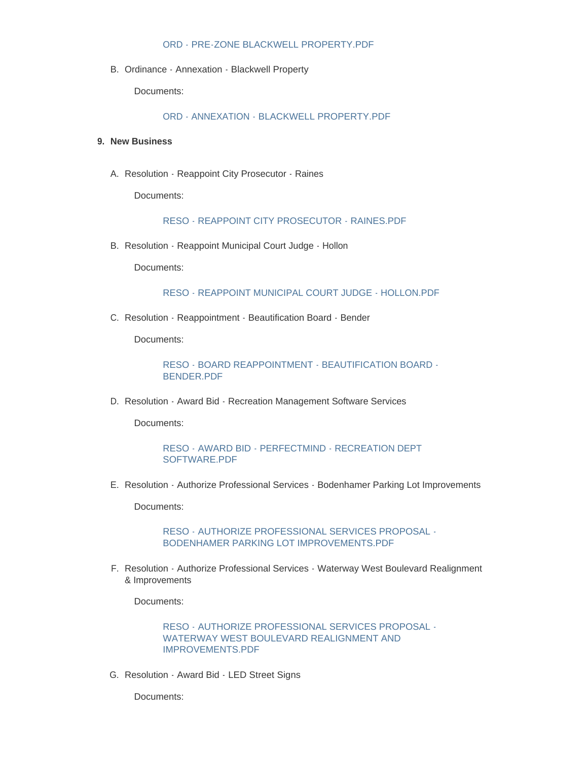#### ORD - PRE-ZONE BLACKWELL PROPERTY.PDF

B. Ordinance - Annexation - Blackwell Property

Documents:

ORD - ANNEXATION - BLACKWELL PROPERTY.PDF

#### **New Business 9.**

A. Resolution - Reappoint City Prosecutor - Raines

Documents:

#### RESO - REAPPOINT CITY PROSECUTOR - RAINES.PDF

B. Resolution - Reappoint Municipal Court Judge - Hollon

Documents:

RESO - REAPPOINT MUNICIPAL COURT JUDGE - HOLLON.PDF

C. Resolution - Reappointment - Beautification Board - Bender

Documents:

RESO - BOARD REAPPOINTMENT - BEAUTIFICATION BOARD - BENDER.PDF

D. Resolution - Award Bid - Recreation Management Software Services

Documents:

RESO - AWARD BID - PERFECTMIND - RECREATION DEPT SOFTWARE.PDF

E. Resolution - Authorize Professional Services - Bodenhamer Parking Lot Improvements

Documents:

RESO - AUTHORIZE PROFESSIONAL SERVICES PROPOSAL - BODENHAMER PARKING LOT IMPROVEMENTS.PDF

Resolution - Authorize Professional Services - Waterway West Boulevard Realignment F. & Improvements

Documents:

RESO - AUTHORIZE PROFESSIONAL SERVICES PROPOSAL - WATERWAY WEST BOULEVARD REALIGNMENT AND IMPROVEMENTS.PDF

G. Resolution - Award Bid - LED Street Signs

Documents: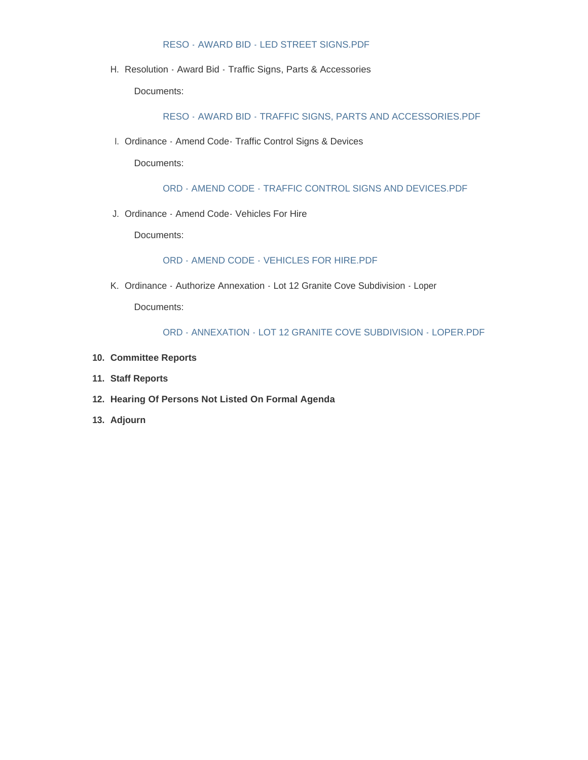#### RESO - AWARD BID - LED STREET SIGNS.PDF

H. Resolution - Award Bid - Traffic Signs, Parts & Accessories

Documents:

RESO - AWARD BID - TRAFFIC SIGNS, PARTS AND ACCESSORIES.PDF

l. Ordinance - Amend Code- Traffic Control Signs & Devices

Documents:

ORD - AMEND CODE - TRAFFIC CONTROL SIGNS AND DEVICES.PDF

J. Ordinance - Amend Code - Vehicles For Hire

Documents:

ORD - AMEND CODE - VEHICLES FOR HIRE.PDF

K. Ordinance - Authorize Annexation - Lot 12 Granite Cove Subdivision - Loper

Documents:

#### ORD - ANNEXATION - LOT 12 GRANITE COVE SUBDIVISION - LOPER.PDF

- **Committee Reports 10.**
- **Staff Reports 11.**
- **Hearing Of Persons Not Listed On Formal Agenda 12.**
- **Adjourn 13.**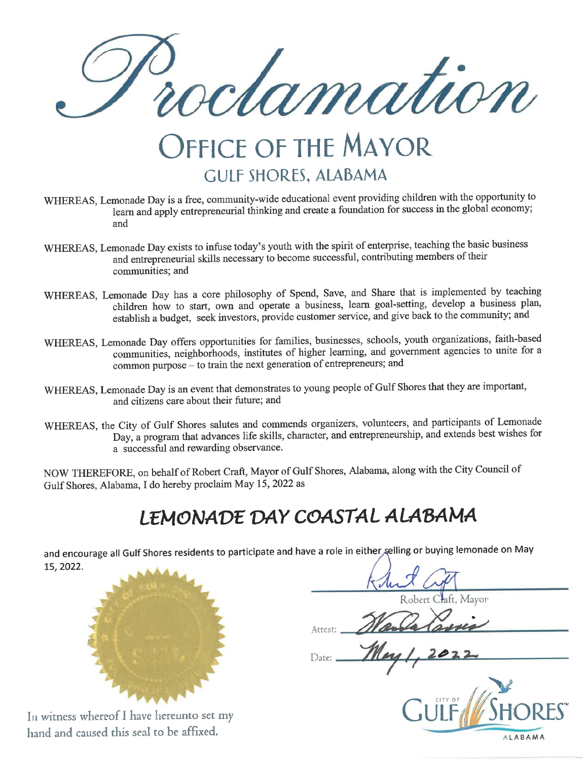oclamation

# **OFFICE OF THE MAYOR GULF SHORES, ALABAMA**

- WHEREAS, Lemonade Day is a free, community-wide educational event providing children with the opportunity to learn and apply entrepreneurial thinking and create a foundation for success in the global economy; and
- WHEREAS, Lemonade Day exists to infuse today's youth with the spirit of enterprise, teaching the basic business and entrepreneurial skills necessary to become successful, contributing members of their communities; and
- WHEREAS, Lemonade Day has a core philosophy of Spend, Save, and Share that is implemented by teaching children how to start, own and operate a business, learn goal-setting, develop a business plan, establish a budget, seek investors, provide customer service, and give back to the community; and
- WHEREAS, Lemonade Day offers opportunities for families, businesses, schools, youth organizations, faith-based communities, neighborhoods, institutes of higher learning, and government agencies to unite for a common purpose – to train the next generation of entrepreneurs; and
- WHEREAS, Lemonade Day is an event that demonstrates to young people of Gulf Shores that they are important, and citizens care about their future; and
- WHEREAS, the City of Gulf Shores salutes and commends organizers, volunteers, and participants of Lemonade Day, a program that advances life skills, character, and entrepreneurship, and extends best wishes for a successful and rewarding observance.

NOW THEREFORE, on behalf of Robert Craft, Mayor of Gulf Shores, Alabama, along with the City Council of Gulf Shores, Alabama, I do hereby proclaim May 15, 2022 as

# LEMONADE DAY COASTAL ALABAMA

and encourage all Gulf Shores residents to participate and have a role in either selling or buying lemonade on May 15, 2022.



In witness whereof I have hereunto set my hand and caused this seal to be affixed.

ft, Mayor

Arrest:

Date:

**ALABAMA**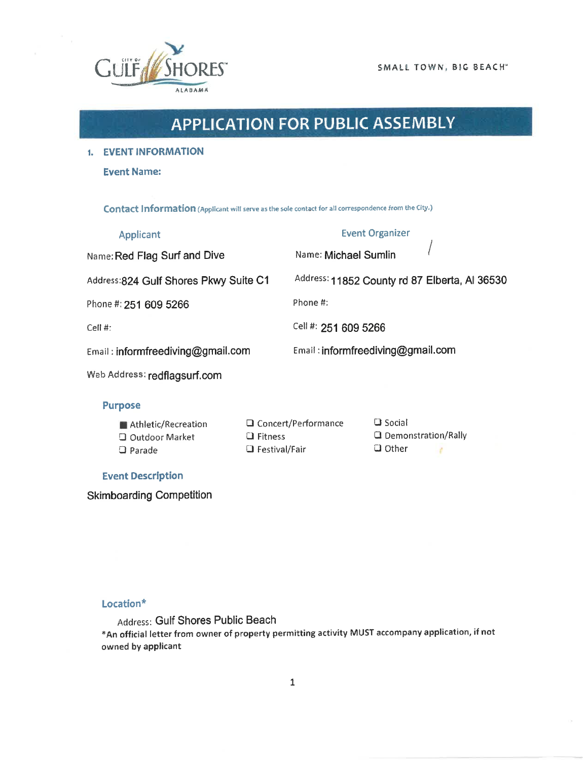

SMALL TOWN, BIG BEACH"

# **APPLICATION FOR PUBLIC ASSEMBLY**

1. EVENT INFORMATION

**Event Name:** 

Contact Information (Applicant will serve as the sole contact for all correspondence from the City.)

| <b>Applicant</b>                       | <b>Event Organizer</b>                        |
|----------------------------------------|-----------------------------------------------|
| Name: Red Flag Surf and Dive           | Name: Michael Sumlin                          |
| Address: 824 Gulf Shores Pkwy Suite C1 | Address: 11852 County rd 87 Elberta, Al 36530 |
| Phone #: 251 609 5266                  | Phone #:                                      |
| $Cell$ #:                              | Cell #: 251 609 5266                          |
| Email: informfreediving@gmail.com      | Email: informfreediving@gmail.com             |
| Web Address: redflagsurf.com           |                                               |
|                                        |                                               |

#### **Purpose**

| Athletic/Recreation   |
|-----------------------|
| $\Box$ Outdoor Market |
| $\square$ Parade      |

**Q** Concert/Performance  $\Box$  Fitness  $\Box$  Festival/Fair

**Q** Social **Q** Demonstration/Rally  $\Box$  Other ¥

## **Event Description**

**Skimboarding Competition** 

## Location\*

Address: Gulf Shores Public Beach \*An official letter from owner of property permitting activity MUST accompany application, if not owned by applicant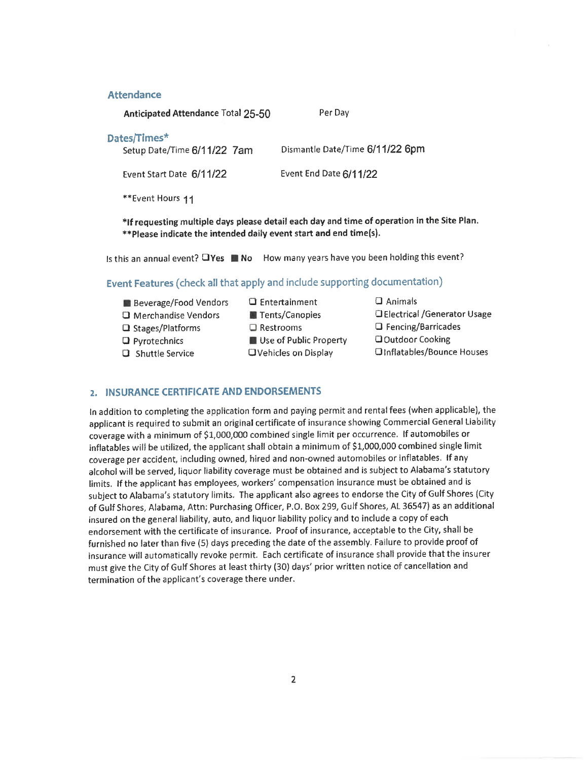#### **Attendance**

Anticipated Attendance Total 25-50

#### Dates/Times\*

Setup Date/Time 6/11/22 7am

Dismantle Date/Time 6/11/22 6pm

Event Start Date 6/11/22

Event End Date 6/11/22

Per Day

\*\*Event Hours 11

\*If requesting multiple days please detail each day and time of operation in the Site Plan. \*\*Please indicate the intended daily event start and end time(s).

Is this an annual event? OYes No How many years have you been holding this event?

# Event Features (check all that apply and include supporting documentation)

- **Beverage/Food Vendors**
- **O** Merchandise Vendors
- □ Stages/Platforms
- $\Box$  Pyrotechnics
- **Q** Shuttle Service
- $\Box$  Entertainment Tents/Canopies  $\Box$  Restrooms Use of Public Property **OVehicles on Display**

 $\square$  Animals **C** Electrical /Generator Usage **Q** Fencing/Barricades **QOutdoor Cooking OInflatables/Bounce Houses** 

## 2. INSURANCE CERTIFICATE AND ENDORSEMENTS

In addition to completing the application form and paying permit and rental fees (when applicable), the applicant is required to submit an original certificate of insurance showing Commercial General Liability coverage with a minimum of \$1,000,000 combined single limit per occurrence. If automobiles or inflatables will be utilized, the applicant shall obtain a minimum of \$1,000,000 combined single limit coverage per accident, including owned, hired and non-owned automobiles or inflatables. If any alcohol will be served, liquor liability coverage must be obtained and is subject to Alabama's statutory limits. If the applicant has employees, workers' compensation insurance must be obtained and is subject to Alabama's statutory limits. The applicant also agrees to endorse the City of Gulf Shores (City of Gulf Shores, Alabama, Attn: Purchasing Officer, P.O. Box 299, Gulf Shores, AL 36547) as an additional insured on the general liability, auto, and liquor liability policy and to include a copy of each endorsement with the certificate of insurance. Proof of insurance, acceptable to the City, shall be furnished no later than five (5) days preceding the date of the assembly. Failure to provide proof of insurance will automatically revoke permit. Each certificate of insurance shall provide that the insurer must give the City of Gulf Shores at least thirty (30) days' prior written notice of cancellation and termination of the applicant's coverage there under.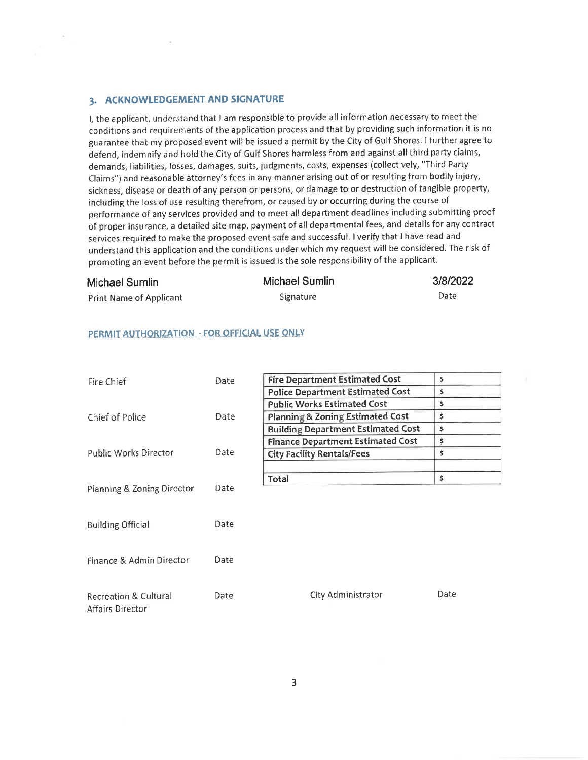#### 3. ACKNOWLEDGEMENT AND SIGNATURE

I, the applicant, understand that I am responsible to provide all information necessary to meet the conditions and requirements of the application process and that by providing such information it is no guarantee that my proposed event will be issued a permit by the City of Gulf Shores. I further agree to defend, indemnify and hold the City of Gulf Shores harmless from and against all third party claims, demands, liabilities, losses, damages, suits, judgments, costs, expenses (collectively, "Third Party Claims") and reasonable attorney's fees in any manner arising out of or resulting from bodily injury, sickness, disease or death of any person or persons, or damage to or destruction of tangible property, including the loss of use resulting therefrom, or caused by or occurring during the course of performance of any services provided and to meet all department deadlines including submitting proof of proper insurance, a detailed site map, payment of all departmental fees, and details for any contract services required to make the proposed event safe and successful. I verify that I have read and understand this application and the conditions under which my request will be considered. The risk of promoting an event before the permit is issued is the sole responsibility of the applicant.

#### **Michael Sumlin**

 $\bar{a}$ 

# **Michael Sumlin**

#### 3/8/2022

**Print Name of Applicant** 

Signature

Date

#### PERMIT AUTHORIZATION - FOR OFFICIAL USE ONLY

| Fire Chief                       | Date | \$<br><b>Fire Department Estimated Cost</b> |      |  |
|----------------------------------|------|---------------------------------------------|------|--|
|                                  |      | <b>Police Department Estimated Cost</b>     | \$   |  |
|                                  |      | <b>Public Works Estimated Cost</b>          | \$   |  |
| Chief of Police                  | Date | Planning & Zoning Estimated Cost            | \$   |  |
|                                  |      | <b>Building Department Estimated Cost</b>   | \$   |  |
|                                  |      | <b>Finance Department Estimated Cost</b>    | \$   |  |
| <b>Public Works Director</b>     | Date | <b>City Facility Rentals/Fees</b>           | \$   |  |
|                                  |      |                                             |      |  |
|                                  |      | Total                                       | \$   |  |
| Planning & Zoning Director       | Date |                                             |      |  |
|                                  |      |                                             |      |  |
|                                  |      |                                             |      |  |
| <b>Building Official</b>         | Date |                                             |      |  |
|                                  |      |                                             |      |  |
| Finance & Admin Director         | Date |                                             |      |  |
|                                  |      |                                             |      |  |
|                                  |      |                                             |      |  |
| <b>Recreation &amp; Cultural</b> | Date | City Administrator                          | Date |  |
| <b>Affairs Director</b>          |      |                                             |      |  |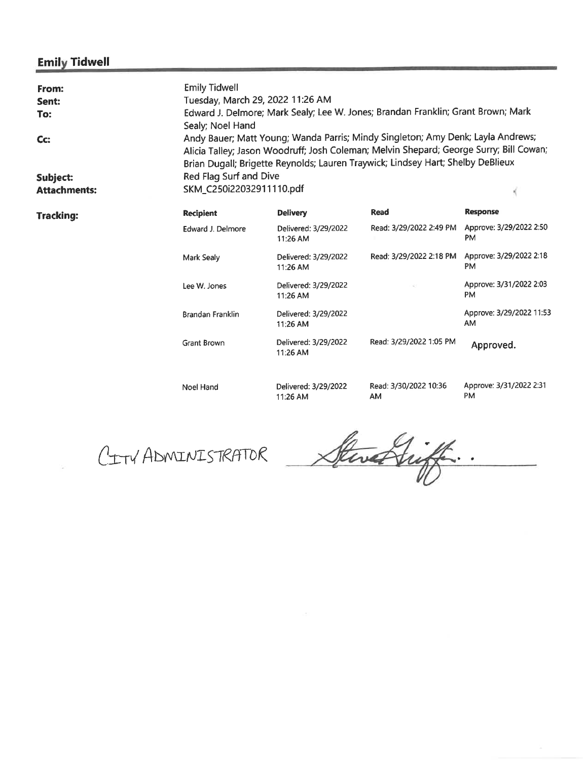# **Emily Tidwell**

| From:<br>Sent:<br>To:<br>Cc:<br>Subject: | <b>Emily Tidwell</b><br>Sealy; Noel Hand | Tuesday, March 29, 2022 11:26 AM<br>Edward J. Delmore; Mark Sealy; Lee W. Jones; Brandan Franklin; Grant Brown; Mark<br>Andy Bauer; Matt Young; Wanda Parris; Mindy Singleton; Amy Denk; Layla Andrews;<br>Alicia Talley; Jason Woodruff; Josh Coleman; Melvin Shepard; George Surry; Bill Cowan;<br>Brian Dugall; Brigette Reynolds; Lauren Traywick; Lindsey Hart; Shelby DeBlieux<br>Red Flag Surf and Dive |                                    |                                                              |  |  |  |
|------------------------------------------|------------------------------------------|----------------------------------------------------------------------------------------------------------------------------------------------------------------------------------------------------------------------------------------------------------------------------------------------------------------------------------------------------------------------------------------------------------------|------------------------------------|--------------------------------------------------------------|--|--|--|
| <b>Attachments:</b>                      | SKM_C250i22032911110.pdf                 |                                                                                                                                                                                                                                                                                                                                                                                                                |                                    |                                                              |  |  |  |
| <b>Tracking:</b>                         | <b>Recipient</b>                         | <b>Delivery</b>                                                                                                                                                                                                                                                                                                                                                                                                | <b>Read</b>                        | <b>Response</b>                                              |  |  |  |
|                                          | <b>Edward J. Delmore</b>                 | Delivered: 3/29/2022<br>11:26 AM                                                                                                                                                                                                                                                                                                                                                                               |                                    | Read: 3/29/2022 2:49 PM Approve: 3/29/2022 2:50<br><b>PM</b> |  |  |  |
|                                          | Mark Sealy                               | Delivered: 3/29/2022<br>11:26 AM                                                                                                                                                                                                                                                                                                                                                                               | Read: 3/29/2022 2:18 PM            | Approve: 3/29/2022 2:18<br><b>PM</b>                         |  |  |  |
|                                          | Lee W. Jones                             | Delivered: 3/29/2022<br>11:26 AM                                                                                                                                                                                                                                                                                                                                                                               |                                    | Approve: 3/31/2022 2:03<br><b>PM</b>                         |  |  |  |
|                                          | <b>Brandan Franklin</b>                  | Delivered: 3/29/2022<br>11:26 AM                                                                                                                                                                                                                                                                                                                                                                               |                                    | Approve: 3/29/2022 11:53<br>AM                               |  |  |  |
|                                          | Grant Brown                              | Delivered: 3/29/2022<br>11:26 AM                                                                                                                                                                                                                                                                                                                                                                               | Read: 3/29/2022 1:05 PM            | Approved.                                                    |  |  |  |
|                                          | <b>Noel Hand</b>                         | Delivered: 3/29/2022<br>11:26 AM                                                                                                                                                                                                                                                                                                                                                                               | Read: 3/30/2022 10:36<br><b>AM</b> | Approve: 3/31/2022 2:31<br>PM                                |  |  |  |

CITY ADMINISTRATOR

Stwart ...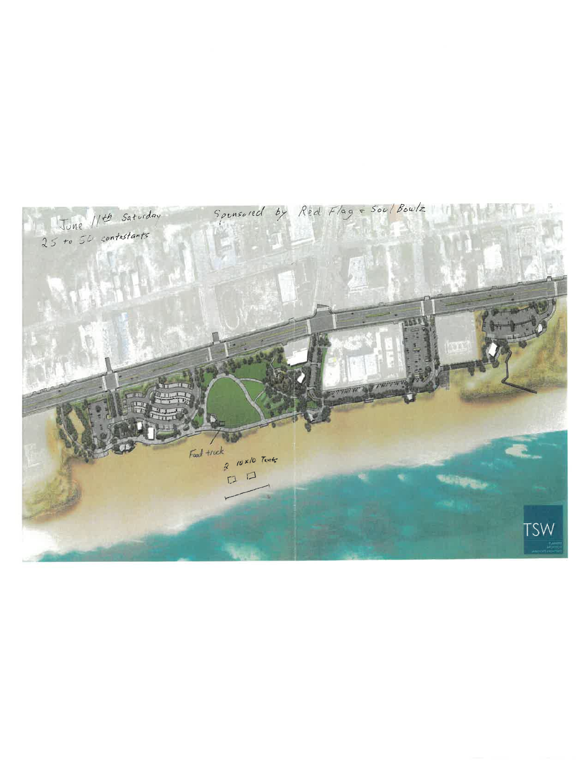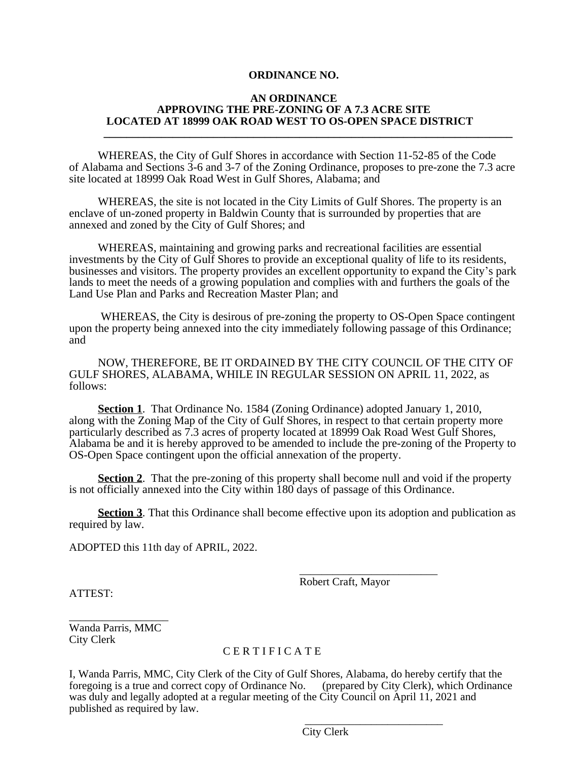#### **AN ORDINANCE APPROVING THE PRE-ZONING OF A 7.3 ACRE SITE LOCATED AT 18999 OAK ROAD WEST TO OS-OPEN SPACE DISTRICT**

WHEREAS, the City of Gulf Shores in accordance with Section 11-52-85 of the Code of Alabama and Sections 3-6 and 3-7 of the Zoning Ordinance, proposes to pre-zone the 7.3 acre site located at 18999 Oak Road West in Gulf Shores, Alabama; and

**\_\_\_\_\_\_\_\_\_\_\_\_\_\_\_\_\_\_\_\_\_\_\_\_\_\_\_\_\_\_\_\_\_\_\_\_\_\_\_\_\_\_\_\_\_\_\_\_\_\_\_\_\_\_\_\_\_\_\_\_\_\_\_\_\_\_\_\_\_\_\_**

WHEREAS, the site is not located in the City Limits of Gulf Shores. The property is an enclave of un-zoned property in Baldwin County that is surrounded by properties that are annexed and zoned by the City of Gulf Shores; and

WHEREAS, maintaining and growing parks and recreational facilities are essential investments by the City of Gulf Shores to provide an exceptional quality of life to its residents, businesses and visitors. The property provides an excellent opportunity to expand the City's park lands to meet the needs of a growing population and complies with and furthers the goals of the Land Use Plan and Parks and Recreation Master Plan; and

 WHEREAS, the City is desirous of pre-zoning the property to OS-Open Space contingent upon the property being annexed into the city immediately following passage of this Ordinance; and

NOW, THEREFORE, BE IT ORDAINED BY THE CITY COUNCIL OF THE CITY OF GULF SHORES, ALABAMA, WHILE IN REGULAR SESSION ON APRIL 11, 2022, as follows:

 **Section 1**. That Ordinance No. 1584 (Zoning Ordinance) adopted January 1, 2010, along with the Zoning Map of the City of Gulf Shores, in respect to that certain property more particularly described as 7.3 acres of property located at 18999 Oak Road West Gulf Shores, Alabama be and it is hereby approved to be amended to include the pre-zoning of the Property to OS-Open Space contingent upon the official annexation of the property.

**Section 2.** That the pre-zoning of this property shall become null and void if the property is not officially annexed into the City within 180 days of passage of this Ordinance.

**Section 3**. That this Ordinance shall become effective upon its adoption and publication as required by law.

 $\overline{\phantom{a}}$  , and the contract of the contract of the contract of the contract of the contract of the contract of the contract of the contract of the contract of the contract of the contract of the contract of the contrac

ADOPTED this 11th day of APRIL, 2022.

Robert Craft, Mayor

ATTEST:

\_\_\_\_\_\_\_\_\_\_\_\_\_\_\_\_\_\_ Wanda Parris, MMC City Clerk

#### C E R T I F I C A T E

 $\overline{\phantom{a}}$  , and the contract of the contract of the contract of the contract of the contract of the contract of the contract of the contract of the contract of the contract of the contract of the contract of the contrac

I, Wanda Parris, MMC, City Clerk of the City of Gulf Shores, Alabama, do hereby certify that the foregoing is a true and correct copy of Ordinance No. was duly and legally adopted at a regular meeting of the City Council on April 11, 2021 and published as required by law.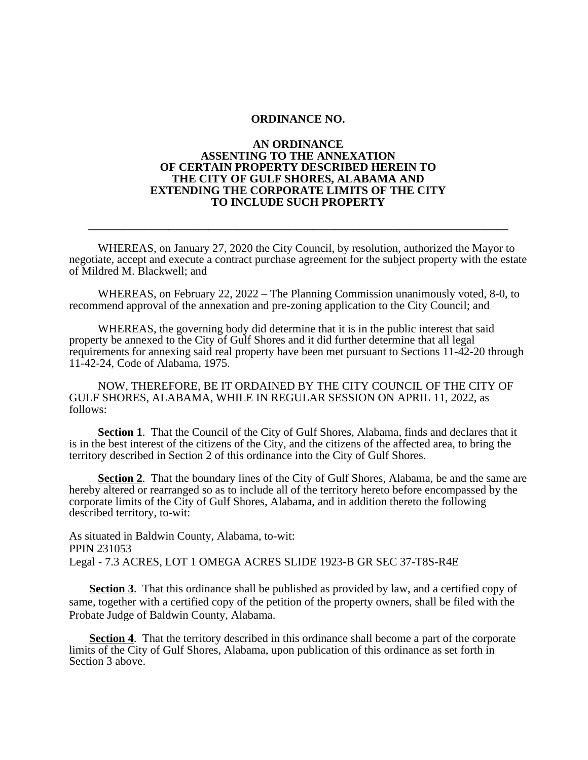#### **AN ORDINANCE ASSENTING TO THE ANNEXATION OF CERTAIN PROPERTY DESCRIBED HEREIN TO THE CITY OF GULF SHORES, ALABAMA AND EXTENDING THE CORPORATE LIMITS OF THE CITY TO INCLUDE SUCH PROPERTY**

WHEREAS, on January 27, 2020 the City Council, by resolution, authorized the Mayor to negotiate, accept and execute a contract purchase agreement for the subject property with the estate of Mildred M. Blackwell; and

**\_\_\_\_\_\_\_\_\_\_\_\_\_\_\_\_\_\_\_\_\_\_\_\_\_\_\_\_\_\_\_\_\_\_\_\_\_\_\_\_\_\_\_\_\_\_\_\_\_\_\_\_\_\_\_\_\_\_\_\_\_\_\_\_\_\_\_\_\_\_\_\_\_**

WHEREAS, on February 22, 2022 – The Planning Commission unanimously voted, 8-0, to recommend approval of the annexation and pre-zoning application to the City Council; and

WHEREAS, the governing body did determine that it is in the public interest that said property be annexed to the City of Gulf Shores and it did further determine that all legal requirements for annexing said real property have been met pursuant to Sections 11-42-20 through 11-42-24, Code of Alabama, 1975.

 NOW, THEREFORE, BE IT ORDAINED BY THE CITY COUNCIL OF THE CITY OF GULF SHORES, ALABAMA, WHILE IN REGULAR SESSION ON APRIL 11, 2022, as follows:

**Section 1.** That the Council of the City of Gulf Shores, Alabama, finds and declares that it is in the best interest of the citizens of the City, and the citizens of the affected area, to bring the territory described in Section 2 of this ordinance into the City of Gulf Shores.

**Section 2.** That the boundary lines of the City of Gulf Shores, Alabama, be and the same are hereby altered or rearranged so as to include all of the territory hereto before encompassed by the corporate limits of the City of Gulf Shores, Alabama, and in addition thereto the following described territory, to-wit:

As situated in Baldwin County, Alabama, to-wit: PPIN 231053 Legal - 7.3 ACRES, LOT 1 OMEGA ACRES SLIDE 1923-B GR SEC 37-T8S-R4E

**Section 3**. That this ordinance shall be published as provided by law, and a certified copy of same, together with a certified copy of the petition of the property owners, shall be filed with the Probate Judge of Baldwin County, Alabama.

 **Section 4**. That the territory described in this ordinance shall become a part of the corporate limits of the City of Gulf Shores, Alabama, upon publication of this ordinance as set forth in Section 3 above.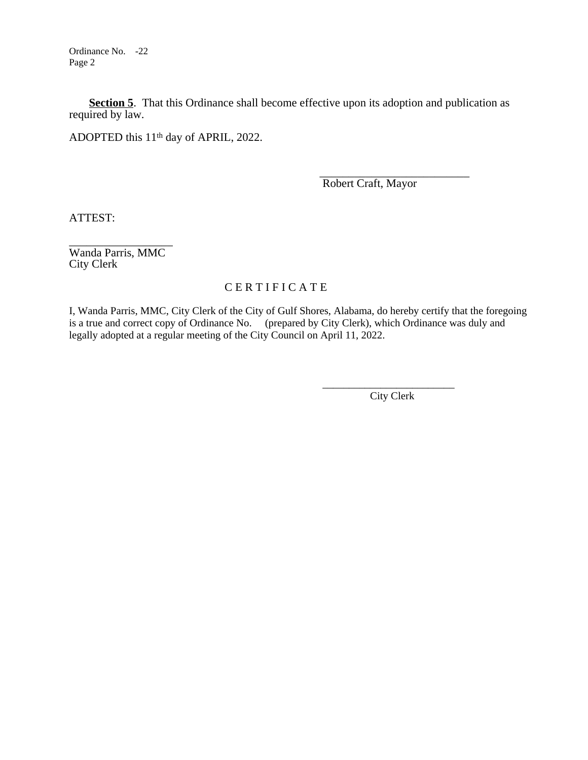Ordinance No. -22 Page 2

**<u>Section 5</u>**. That this Ordinance shall become effective upon its adoption and publication as required by law.

ADOPTED this 11<sup>th</sup> day of APRIL, 2022.

 \_\_\_\_\_\_\_\_\_\_\_\_\_\_\_\_\_\_\_\_\_\_\_\_\_\_ Robert Craft, Mayor

ATTEST:

\_\_\_\_\_\_\_\_\_\_\_\_\_\_\_\_\_\_ Wanda Parris, MMC City Clerk

# C E R T I F I C A T E

 $\overline{\phantom{a}}$  , and the contract of the contract of the contract of the contract of the contract of the contract of the contract of the contract of the contract of the contract of the contract of the contract of the contrac

I, Wanda Parris, MMC, City Clerk of the City of Gulf Shores, Alabama, do hereby certify that the foregoing is a true and correct copy of Ordinance No. (prepared by City Clerk), which Ordinance was duly and legally adopted at a regular meeting of the City Council on April 11, 2022.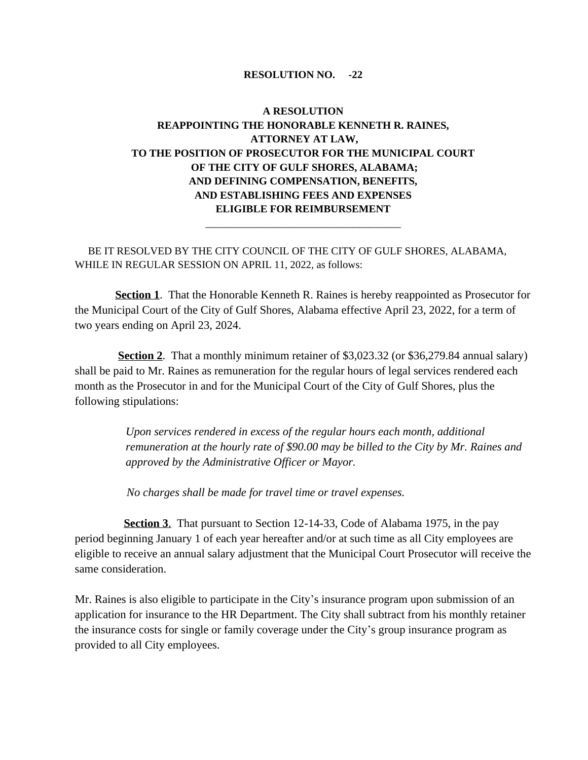# **A RESOLUTION REAPPOINTING THE HONORABLE KENNETH R. RAINES, ATTORNEY AT LAW, TO THE POSITION OF PROSECUTOR FOR THE MUNICIPAL COURT OF THE CITY OF GULF SHORES, ALABAMA; AND DEFINING COMPENSATION, BENEFITS, AND ESTABLISHING FEES AND EXPENSES ELIGIBLE FOR REIMBURSEMENT**

\_\_\_\_\_\_\_\_\_\_\_\_\_\_\_\_\_\_\_\_\_\_\_\_\_\_\_\_\_\_\_\_\_\_\_\_\_

 BE IT RESOLVED BY THE CITY COUNCIL OF THE CITY OF GULF SHORES, ALABAMA, WHILE IN REGULAR SESSION ON APRIL 11, 2022, as follows:

**Section 1**. That the Honorable Kenneth R. Raines is hereby reappointed as Prosecutor for the Municipal Court of the City of Gulf Shores, Alabama effective April 23, 2022, for a term of two years ending on April 23, 2024.

**Section 2**. That a monthly minimum retainer of \$3,023.32 (or \$36,279.84 annual salary) shall be paid to Mr. Raines as remuneration for the regular hours of legal services rendered each month as the Prosecutor in and for the Municipal Court of the City of Gulf Shores, plus the following stipulations:

> *Upon services rendered in excess of the regular hours each month, additional remuneration at the hourly rate of \$90.00 may be billed to the City by Mr. Raines and approved by the Administrative Officer or Mayor.*

*No charges shall be made for travel time or travel expenses.*

 **Section 3**. That pursuant to Section 12-14-33, Code of Alabama 1975, in the pay period beginning January 1 of each year hereafter and/or at such time as all City employees are eligible to receive an annual salary adjustment that the Municipal Court Prosecutor will receive the same consideration.

Mr. Raines is also eligible to participate in the City's insurance program upon submission of an application for insurance to the HR Department. The City shall subtract from his monthly retainer the insurance costs for single or family coverage under the City's group insurance program as provided to all City employees.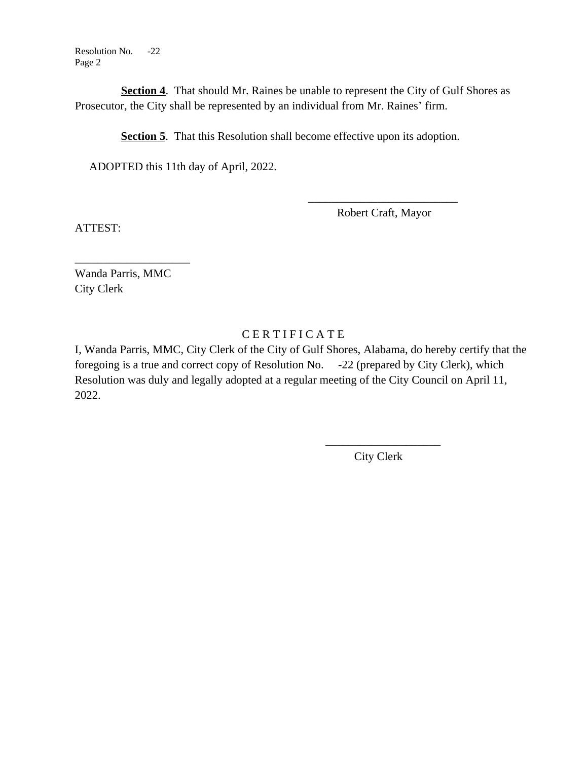Resolution No. -22 Page 2

**Section 4.** That should Mr. Raines be unable to represent the City of Gulf Shores as Prosecutor, the City shall be represented by an individual from Mr. Raines' firm.

**Section 5**. That this Resolution shall become effective upon its adoption.

 $\overline{\phantom{a}}$  , which is a set of the set of the set of the set of the set of the set of the set of the set of the set of the set of the set of the set of the set of the set of the set of the set of the set of the set of th

ADOPTED this 11th day of April, 2022.

Robert Craft, Mayor

ATTEST:

Wanda Parris, MMC City Clerk

\_\_\_\_\_\_\_\_\_\_\_\_\_\_\_\_\_\_\_\_

# C E R T I F I C A T E

I, Wanda Parris, MMC, City Clerk of the City of Gulf Shores, Alabama, do hereby certify that the foregoing is a true and correct copy of Resolution No. -22 (prepared by City Clerk), which Resolution was duly and legally adopted at a regular meeting of the City Council on April 11, 2022.

 $\frac{1}{2}$  , and the contract of the contract of the contract of the contract of the contract of the contract of the contract of the contract of the contract of the contract of the contract of the contract of the contract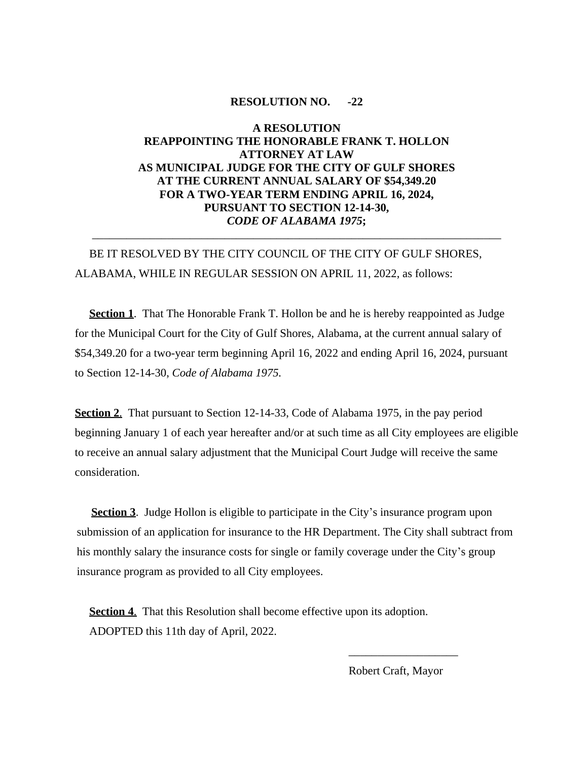# **A RESOLUTION REAPPOINTING THE HONORABLE FRANK T. HOLLON ATTORNEY AT LAW AS MUNICIPAL JUDGE FOR THE CITY OF GULF SHORES AT THE CURRENT ANNUAL SALARY OF \$54,349.20 FOR A TWO-YEAR TERM ENDING APRIL 16, 2024, PURSUANT TO SECTION 12-14-30,** *CODE OF ALABAMA 1975***;**

\_\_\_\_\_\_\_\_\_\_\_\_\_\_\_\_\_\_\_\_\_\_\_\_\_\_\_\_\_\_\_\_\_\_\_\_\_\_\_\_\_\_\_\_\_\_\_\_\_\_\_\_\_\_\_\_\_\_\_\_\_\_\_\_\_\_\_\_\_\_\_

# BE IT RESOLVED BY THE CITY COUNCIL OF THE CITY OF GULF SHORES, ALABAMA, WHILE IN REGULAR SESSION ON APRIL 11, 2022, as follows:

**Section 1.** That The Honorable Frank T. Hollon be and he is hereby reappointed as Judge for the Municipal Court for the City of Gulf Shores, Alabama, at the current annual salary of \$54,349.20 for a two-year term beginning April 16, 2022 and ending April 16, 2024, pursuant to Section 12-14-30, *Code of Alabama 1975.*

**Section 2.** That pursuant to Section 12-14-33, Code of Alabama 1975, in the pay period beginning January 1 of each year hereafter and/or at such time as all City employees are eligible to receive an annual salary adjustment that the Municipal Court Judge will receive the same consideration.

**Section 3**. Judge Hollon is eligible to participate in the City's insurance program upon submission of an application for insurance to the HR Department. The City shall subtract from his monthly salary the insurance costs for single or family coverage under the City's group insurance program as provided to all City employees.

**Section 4.** That this Resolution shall become effective upon its adoption. ADOPTED this 11th day of April, 2022.

 $\frac{1}{2}$  ,  $\frac{1}{2}$  ,  $\frac{1}{2}$  ,  $\frac{1}{2}$  ,  $\frac{1}{2}$  ,  $\frac{1}{2}$  ,  $\frac{1}{2}$  ,  $\frac{1}{2}$  ,  $\frac{1}{2}$  ,  $\frac{1}{2}$  ,  $\frac{1}{2}$  ,  $\frac{1}{2}$  ,  $\frac{1}{2}$  ,  $\frac{1}{2}$  ,  $\frac{1}{2}$  ,  $\frac{1}{2}$  ,  $\frac{1}{2}$  ,  $\frac{1}{2}$  ,  $\frac{1$ 

Robert Craft, Mayor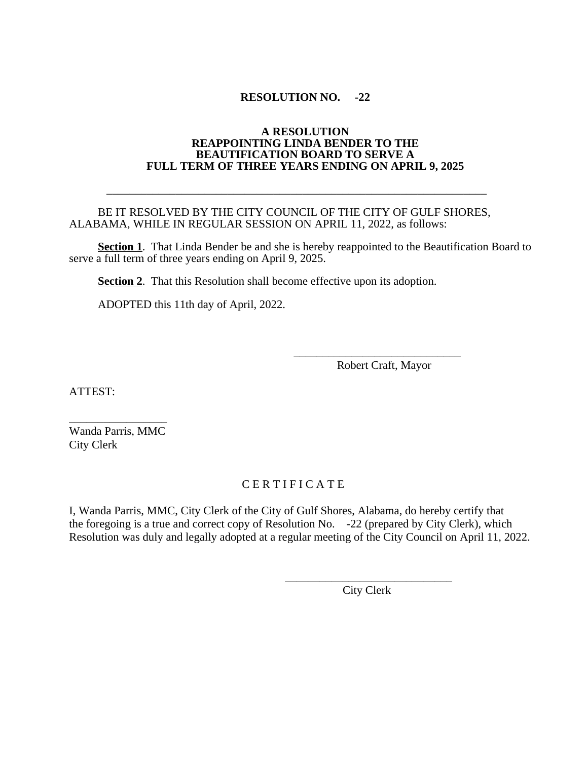#### **A RESOLUTION REAPPOINTING LINDA BENDER TO THE BEAUTIFICATION BOARD TO SERVE A FULL TERM OF THREE YEARS ENDING ON APRIL 9, 2025**

#### BE IT RESOLVED BY THE CITY COUNCIL OF THE CITY OF GULF SHORES, ALABAMA, WHILE IN REGULAR SESSION ON APRIL 11, 2022, as follows:

\_\_\_\_\_\_\_\_\_\_\_\_\_\_\_\_\_\_\_\_\_\_\_\_\_\_\_\_\_\_\_\_\_\_\_\_\_\_\_\_\_\_\_\_\_\_\_\_\_\_\_\_\_\_\_\_\_\_\_\_\_\_\_\_\_\_

**Section 1.** That Linda Bender be and she is hereby reappointed to the Beautification Board to serve a full term of three years ending on April 9, 2025.

**Section 2.** That this Resolution shall become effective upon its adoption.

 $\frac{1}{\sqrt{2\pi}}$  ,  $\frac{1}{\sqrt{2\pi}}$  ,  $\frac{1}{\sqrt{2\pi}}$  ,  $\frac{1}{\sqrt{2\pi}}$  ,  $\frac{1}{\sqrt{2\pi}}$  ,  $\frac{1}{\sqrt{2\pi}}$  ,  $\frac{1}{\sqrt{2\pi}}$  ,  $\frac{1}{\sqrt{2\pi}}$  ,  $\frac{1}{\sqrt{2\pi}}$  ,  $\frac{1}{\sqrt{2\pi}}$  ,  $\frac{1}{\sqrt{2\pi}}$  ,  $\frac{1}{\sqrt{2\pi}}$  ,  $\frac{1}{\sqrt{2\pi}}$  ,

 $\frac{1}{\sqrt{2\cdot\frac{1}{2\cdot\frac{1}{2\cdot\frac{1}{2\cdot\frac{1}{2\cdot\frac{1}{2\cdot\frac{1}{2\cdot\frac{1}{2\cdot\frac{1}{2\cdot\frac{1}{2\cdot\frac{1}{2\cdot\frac{1}{2\cdot\frac{1}{2\cdot\frac{1}{2\cdot\frac{1}{2\cdot\frac{1}{2\cdot\frac{1}{2\cdot\frac{1}{2\cdot\frac{1}{2\cdot\frac{1}{2\cdot\frac{1}{2\cdot\frac{1}{2\cdot\frac{1}{2\cdot\frac{1}{2\cdot\frac{1}{2\cdot\frac{1}{2\cdot\frac{1}{2\cdot\$ 

ADOPTED this 11th day of April, 2022.

Robert Craft, Mayor

ATTEST:

\_\_\_\_\_\_\_\_\_\_\_\_\_\_\_\_\_ Wanda Parris, MMC City Clerk

# C E R T I F I C A T E

I, Wanda Parris, MMC, City Clerk of the City of Gulf Shores, Alabama, do hereby certify that the foregoing is a true and correct copy of Resolution No. -22 (prepared by City Clerk), which Resolution was duly and legally adopted at a regular meeting of the City Council on April 11, 2022.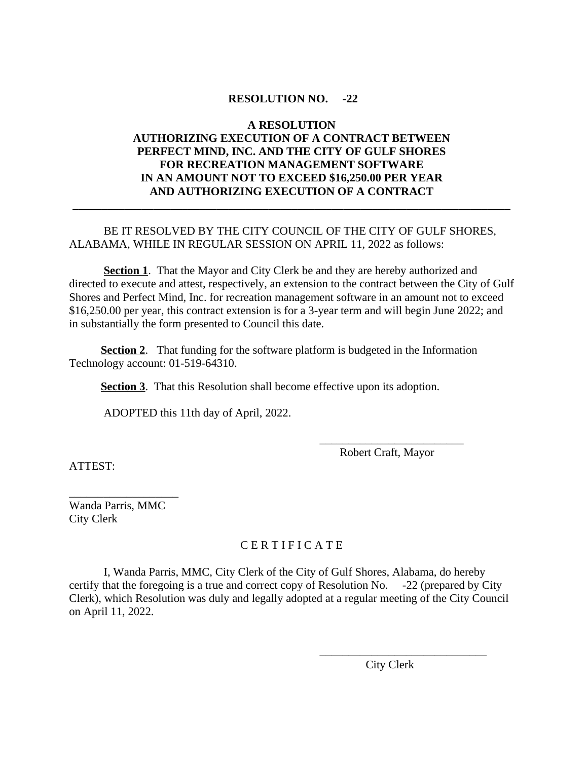# **A RESOLUTION AUTHORIZING EXECUTION OF A CONTRACT BETWEEN PERFECT MIND, INC. AND THE CITY OF GULF SHORES FOR RECREATION MANAGEMENT SOFTWARE IN AN AMOUNT NOT TO EXCEED \$16,250.00 PER YEAR AND AUTHORIZING EXECUTION OF A CONTRACT**

**\_\_\_\_\_\_\_\_\_\_\_\_\_\_\_\_\_\_\_\_\_\_\_\_\_\_\_\_\_\_\_\_\_\_\_\_\_\_\_\_\_\_\_\_\_\_\_\_\_\_\_\_\_\_\_\_\_\_\_\_\_\_\_\_\_\_\_\_\_\_\_\_\_\_\_\_**

# BE IT RESOLVED BY THE CITY COUNCIL OF THE CITY OF GULF SHORES, ALABAMA, WHILE IN REGULAR SESSION ON APRIL 11, 2022 as follows:

**Section 1**. That the Mayor and City Clerk be and they are hereby authorized and directed to execute and attest, respectively, an extension to the contract between the City of Gulf Shores and Perfect Mind, Inc. for recreation management software in an amount not to exceed \$16,250.00 per year, this contract extension is for a 3-year term and will begin June 2022; and in substantially the form presented to Council this date.

**Section 2.** That funding for the software platform is budgeted in the Information Technology account: 01-519-64310.

**Section 3**. That this Resolution shall become effective upon its adoption.

ADOPTED this 11th day of April, 2022.

ATTEST:

 \_\_\_\_\_\_\_\_\_\_\_\_\_\_\_\_\_\_\_\_\_\_\_\_\_ Robert Craft, Mayor

Wanda Parris, MMC City Clerk

\_\_\_\_\_\_\_\_\_\_\_\_\_\_\_\_\_\_\_

# C E R T I F I C A T E

I, Wanda Parris, MMC, City Clerk of the City of Gulf Shores, Alabama, do hereby certify that the foregoing is a true and correct copy of Resolution No. -22 (prepared by City Clerk), which Resolution was duly and legally adopted at a regular meeting of the City Council on April 11, 2022.

City Clerk

 $\overline{\phantom{a}}$  , and the contract of the contract of the contract of  $\overline{\phantom{a}}$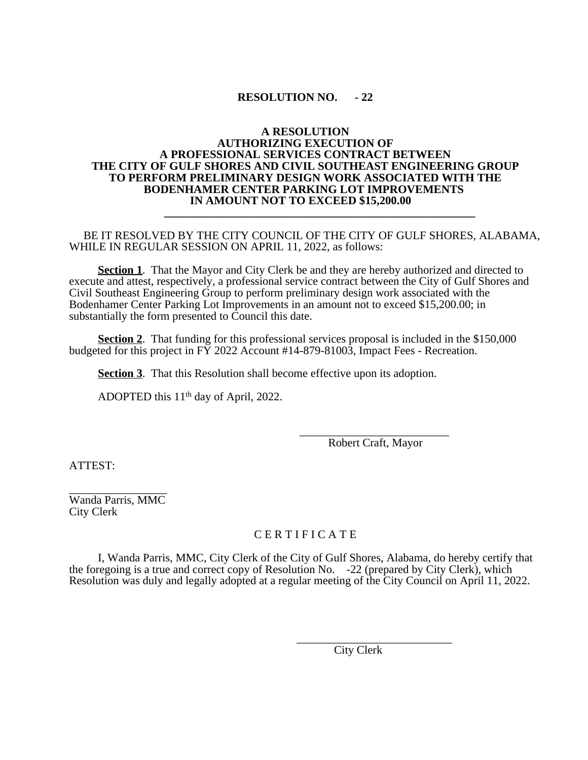#### **A RESOLUTION AUTHORIZING EXECUTION OF A PROFESSIONAL SERVICES CONTRACT BETWEEN THE CITY OF GULF SHORES AND CIVIL SOUTHEAST ENGINEERING GROUP TO PERFORM PRELIMINARY DESIGN WORK ASSOCIATED WITH THE BODENHAMER CENTER PARKING LOT IMPROVEMENTS IN AMOUNT NOT TO EXCEED \$15,200.00 \_\_\_\_\_\_\_\_\_\_\_\_\_\_\_\_\_\_\_\_\_\_\_\_\_\_\_\_\_\_\_\_\_\_\_\_\_\_\_\_\_\_\_\_\_\_\_\_\_\_\_\_\_\_**

#### BE IT RESOLVED BY THE CITY COUNCIL OF THE CITY OF GULF SHORES, ALABAMA, WHILE IN REGULAR SESSION ON APRIL 11, 2022, as follows:

**Section 1**. That the Mayor and City Clerk be and they are hereby authorized and directed to execute and attest, respectively, a professional service contract between the City of Gulf Shores and Civil Southeast Engineering Group to perform preliminary design work associated with the Bodenhamer Center Parking Lot Improvements in an amount not to exceed \$15,200.00; in substantially the form presented to Council this date.

**Section 2.** That funding for this professional services proposal is included in the \$150,000 budgeted for this project in  $\overrightarrow{FY}$  2022 Account #14-879-81003, Impact Fees - Recreation.

**Section 3**. That this Resolution shall become effective upon its adoption.

ADOPTED this  $11<sup>th</sup>$  day of April, 2022.

\_\_\_\_\_\_\_\_\_\_\_\_\_\_\_\_\_\_\_\_\_\_\_\_\_\_ Robert Craft, Mayor

ATTEST:

\_\_\_\_\_\_\_\_\_\_\_\_\_\_\_\_\_ Wanda Parris, MMC City Clerk

### C E R T I F I C A T E

I, Wanda Parris, MMC, City Clerk of the City of Gulf Shores, Alabama, do hereby certify that the foregoing is a true and correct copy of Resolution No. -22 (prepared by City Clerk), which Resolution was duly and legally adopted at a regular meeting of the City Council on April 11, 2022.

> \_\_\_\_\_\_\_\_\_\_\_\_\_\_\_\_\_\_\_\_\_\_\_\_\_\_\_ City Clerk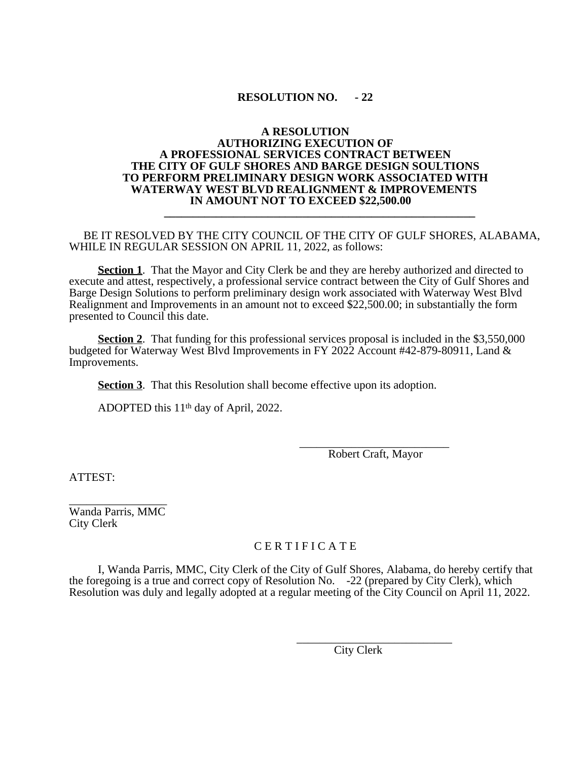#### **A RESOLUTION AUTHORIZING EXECUTION OF A PROFESSIONAL SERVICES CONTRACT BETWEEN THE CITY OF GULF SHORES AND BARGE DESIGN SOULTIONS TO PERFORM PRELIMINARY DESIGN WORK ASSOCIATED WITH WATERWAY WEST BLVD REALIGNMENT & IMPROVEMENTS IN AMOUNT NOT TO EXCEED \$22,500.00 \_\_\_\_\_\_\_\_\_\_\_\_\_\_\_\_\_\_\_\_\_\_\_\_\_\_\_\_\_\_\_\_\_\_\_\_\_\_\_\_\_\_\_\_\_\_\_\_\_\_\_\_\_\_**

#### BE IT RESOLVED BY THE CITY COUNCIL OF THE CITY OF GULF SHORES, ALABAMA, WHILE IN REGULAR SESSION ON APRIL 11, 2022, as follows:

**Section 1**. That the Mayor and City Clerk be and they are hereby authorized and directed to execute and attest, respectively, a professional service contract between the City of Gulf Shores and Barge Design Solutions to perform preliminary design work associated with Waterway West Blvd Realignment and Improvements in an amount not to exceed \$22,500.00; in substantially the form presented to Council this date.

**Section 2.** That funding for this professional services proposal is included in the \$3,550,000 budgeted for Waterway West Blvd Improvements in FY 2022 Account #42-879-80911, Land & Improvements.

**Section 3**. That this Resolution shall become effective upon its adoption.

ADOPTED this  $11<sup>th</sup>$  day of April, 2022.

\_\_\_\_\_\_\_\_\_\_\_\_\_\_\_\_\_\_\_\_\_\_\_\_\_\_ Robert Craft, Mayor

ATTEST:

\_\_\_\_\_\_\_\_\_\_\_\_\_\_\_\_\_ Wanda Parris, MMC City Clerk

## C E R T I F I C A T E

I, Wanda Parris, MMC, City Clerk of the City of Gulf Shores, Alabama, do hereby certify that the foregoing is a true and correct copy of Resolution No. -22 (prepared by City Clerk), which Resolution was duly and legally adopted at a regular meeting of the City Council on April 11, 2022.

> \_\_\_\_\_\_\_\_\_\_\_\_\_\_\_\_\_\_\_\_\_\_\_\_\_\_\_ City Clerk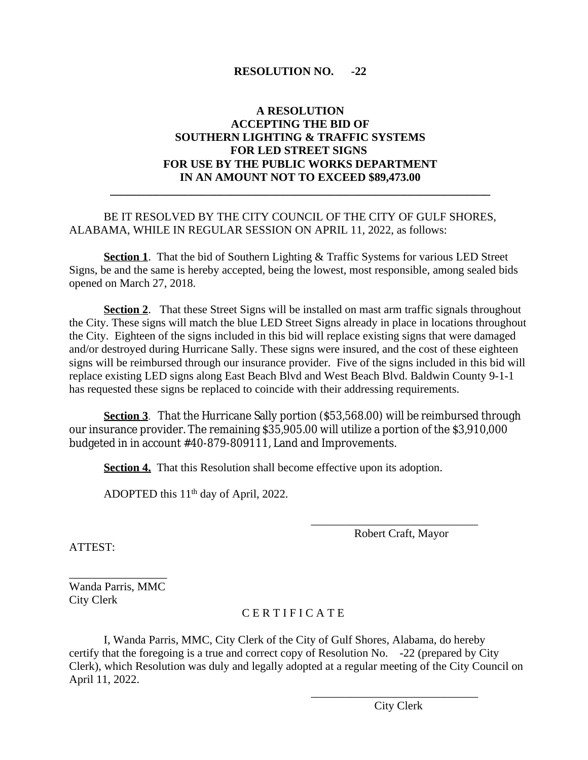# **A RESOLUTION ACCEPTING THE BID OF SOUTHERN LIGHTING & TRAFFIC SYSTEMS FOR LED STREET SIGNS FOR USE BY THE PUBLIC WORKS DEPARTMENT IN AN AMOUNT NOT TO EXCEED \$89,473.00**

**\_\_\_\_\_\_\_\_\_\_\_\_\_\_\_\_\_\_\_\_\_\_\_\_\_\_\_\_\_\_\_\_\_\_\_\_\_\_\_\_\_\_\_\_\_\_\_\_\_\_\_\_\_\_\_\_\_\_\_\_\_\_\_\_\_\_**

# BE IT RESOLVED BY THE CITY COUNCIL OF THE CITY OF GULF SHORES, ALABAMA, WHILE IN REGULAR SESSION ON APRIL 11, 2022, as follows:

**Section 1**. That the bid of Southern Lighting & Traffic Systems for various LED Street Signs, be and the same is hereby accepted, being the lowest, most responsible, among sealed bids opened on March 27, 2018.

**Section 2.** That these Street Signs will be installed on mast arm traffic signals throughout the City. These signs will match the blue LED Street Signs already in place in locations throughout the City. Eighteen of the signs included in this bid will replace existing signs that were damaged and/or destroyed during Hurricane Sally. These signs were insured, and the cost of these eighteen signs will be reimbursed through our insurance provider. Five of the signs included in this bid will replace existing LED signs along East Beach Blvd and West Beach Blvd. Baldwin County 9-1-1 has requested these signs be replaced to coincide with their addressing requirements.

**Section 3**. That the Hurricane Sally portion (\$53,568.00) will be reimbursed through our insurance provider. The remaining \$35,905.00 will utilize a portion of the \$3,910,000 budgeted in in account #40-879-809111, Land and Improvements.

**Section 4.** That this Resolution shall become effective upon its adoption.

ADOPTED this 11th day of April, 2022.

\_\_\_\_\_\_\_\_\_\_\_\_\_\_\_\_\_\_\_\_\_\_\_\_\_\_\_\_\_ Robert Craft, Mayor

ATTEST:

\_\_\_\_\_\_\_\_\_\_\_\_\_\_\_\_\_ Wanda Parris, MMC City Clerk

# C E R T I F I C A T E

I, Wanda Parris, MMC, City Clerk of the City of Gulf Shores, Alabama, do hereby certify that the foregoing is a true and correct copy of Resolution No. -22 (prepared by City Clerk), which Resolution was duly and legally adopted at a regular meeting of the City Council on April 11, 2022.

> \_\_\_\_\_\_\_\_\_\_\_\_\_\_\_\_\_\_\_\_\_\_\_\_\_\_\_\_\_ City Clerk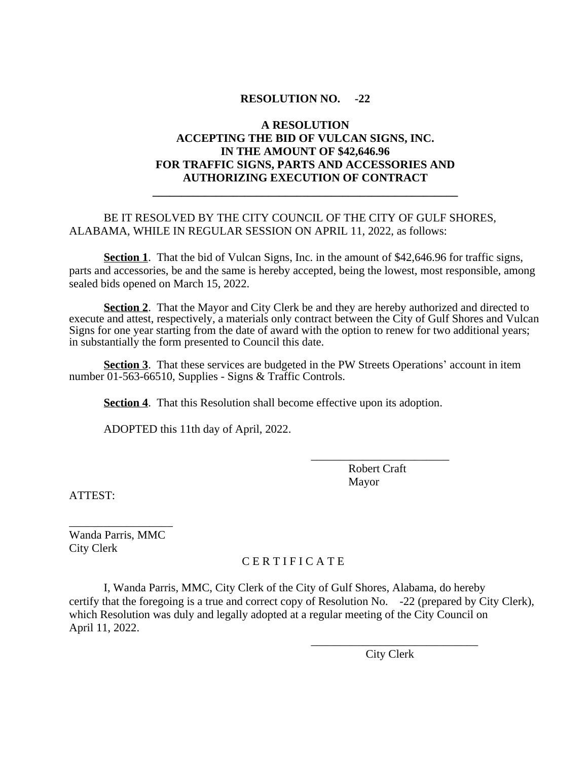# **A RESOLUTION ACCEPTING THE BID OF VULCAN SIGNS, INC. IN THE AMOUNT OF \$42,646.96 FOR TRAFFIC SIGNS, PARTS AND ACCESSORIES AND AUTHORIZING EXECUTION OF CONTRACT**

**\_\_\_\_\_\_\_\_\_\_\_\_\_\_\_\_\_\_\_\_\_\_\_\_\_\_\_\_\_\_\_\_\_\_\_\_\_\_\_\_\_\_\_\_\_\_\_\_\_\_\_\_\_**

## BE IT RESOLVED BY THE CITY COUNCIL OF THE CITY OF GULF SHORES, ALABAMA, WHILE IN REGULAR SESSION ON APRIL 11, 2022, as follows:

**Section 1**. That the bid of Vulcan Signs, Inc. in the amount of \$42,646.96 for traffic signs, parts and accessories, be and the same is hereby accepted, being the lowest, most responsible, among sealed bids opened on March 15, 2022.

**Section 2**. That the Mayor and City Clerk be and they are hereby authorized and directed to execute and attest, respectively, a materials only contract between the City of Gulf Shores and Vulcan Signs for one year starting from the date of award with the option to renew for two additional years; in substantially the form presented to Council this date.

 **Section 3**. That these services are budgeted in the PW Streets Operations' account in item number 01-563-66510, Supplies - Signs & Traffic Controls.

**Section 4.** That this Resolution shall become effective upon its adoption.

ADOPTED this 11th day of April, 2022.

 Robert Craft Mayor

\_\_\_\_\_\_\_\_\_\_\_\_\_\_\_\_\_\_\_\_\_\_\_\_

ATTEST:

Wanda Parris, MMC City Clerk

\_\_\_\_\_\_\_\_\_\_\_\_\_\_\_\_\_\_

# C E R T I F I C A T E

I, Wanda Parris, MMC, City Clerk of the City of Gulf Shores, Alabama, do hereby certify that the foregoing is a true and correct copy of Resolution No. -22 (prepared by City Clerk), which Resolution was duly and legally adopted at a regular meeting of the City Council on April 11, 2022.

> \_\_\_\_\_\_\_\_\_\_\_\_\_\_\_\_\_\_\_\_\_\_\_\_\_\_\_\_\_ City Clerk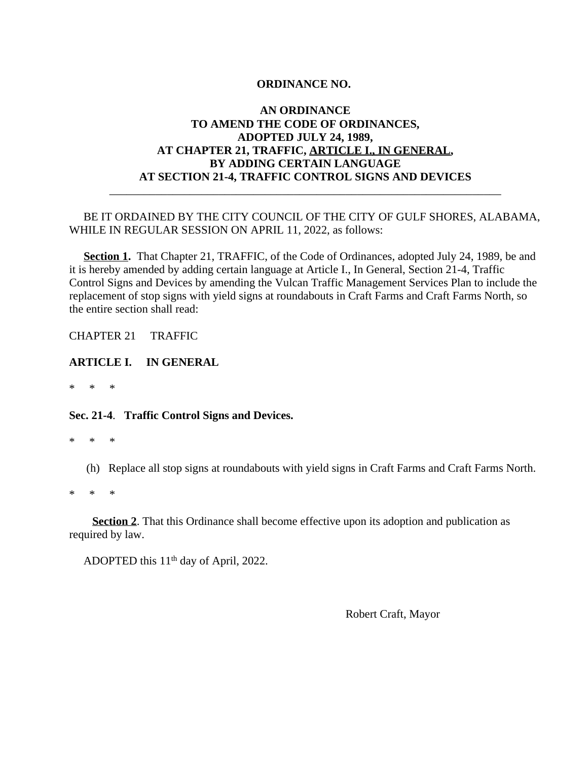# **AN ORDINANCE TO AMEND THE CODE OF ORDINANCES, ADOPTED JULY 24, 1989, AT CHAPTER 21, TRAFFIC, ARTICLE I., IN GENERAL, BY ADDING CERTAIN LANGUAGE AT SECTION 21-4, TRAFFIC CONTROL SIGNS AND DEVICES**

# BE IT ORDAINED BY THE CITY COUNCIL OF THE CITY OF GULF SHORES, ALABAMA, WHILE IN REGULAR SESSION ON APRIL 11, 2022, as follows:

\_\_\_\_\_\_\_\_\_\_\_\_\_\_\_\_\_\_\_\_\_\_\_\_\_\_\_\_\_\_\_\_\_\_\_\_\_\_\_\_\_\_\_\_\_\_\_\_\_\_\_\_\_\_\_\_\_\_\_\_\_\_\_\_\_\_\_\_

**Section 1.** That Chapter 21, TRAFFIC, of the Code of Ordinances, adopted July 24, 1989, be and it is hereby amended by adding certain language at Article I., In General, Section 21-4, Traffic Control Signs and Devices by amending the Vulcan Traffic Management Services Plan to include the replacement of stop signs with yield signs at roundabouts in Craft Farms and Craft Farms North, so the entire section shall read:

CHAPTER 21 TRAFFIC

#### **ARTICLE I. IN GENERAL**

\* \* \*

#### **Sec. 21-4**. **Traffic Control Signs and Devices.**

- \* \* \*
	- (h) Replace all stop signs at roundabouts with yield signs in Craft Farms and Craft Farms North.

\* \* \*

**Section 2.** That this Ordinance shall become effective upon its adoption and publication as required by law.

ADOPTED this 11 th day of April, 2022.

Robert Craft, Mayor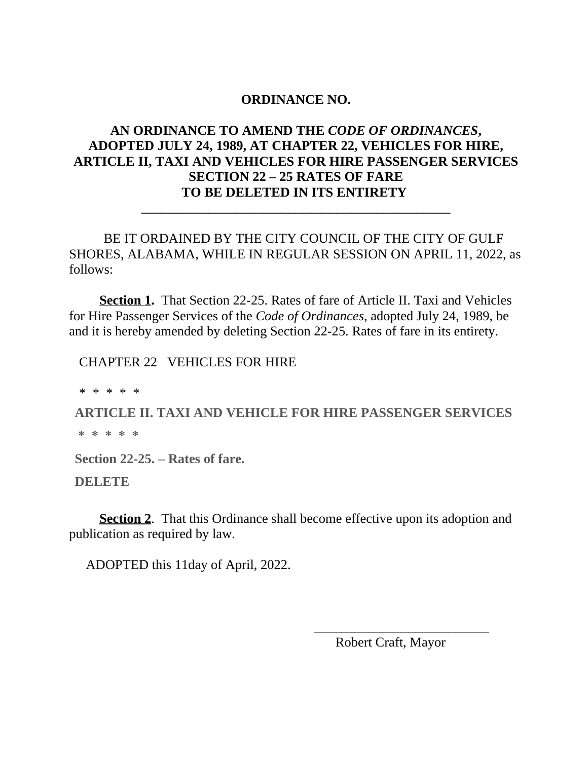# **AN ORDINANCE TO AMEND THE** *CODE OF ORDINANCES***, ADOPTED JULY 24, 1989, AT CHAPTER 22, VEHICLES FOR HIRE, ARTICLE II, TAXI AND VEHICLES FOR HIRE PASSENGER SERVICES SECTION 22 – 25 RATES OF FARE TO BE DELETED IN ITS ENTIRETY**

BE IT ORDAINED BY THE CITY COUNCIL OF THE CITY OF GULF SHORES, ALABAMA, WHILE IN REGULAR SESSION ON APRIL 11, 2022, as follows:

**\_\_\_\_\_\_\_\_\_\_\_\_\_\_\_\_\_\_\_\_\_\_\_\_\_\_\_\_\_\_\_\_\_\_\_\_\_\_\_\_\_\_\_\_\_\_**

 **Section 1.** That Section 22-25. Rates of fare of Article II. Taxi and Vehicles for Hire Passenger Services of the *Code of Ordinances*, adopted July 24, 1989, be and it is hereby amended by deleting Section 22-25. Rates of fare in its entirety.

CHAPTER 22 VEHICLES FOR HIRE

\* \* \* \* \*

**ARTICLE II. TAXI AND VEHICLE FOR HIRE PASSENGER SERVICES**

 **\* \* \* \* \***

**Section 22-25. – Rates of fare.**

**DELETE** 

**Section 2.** That this Ordinance shall become effective upon its adoption and publication as required by law.

 $\overline{\phantom{a}}$  , which is a set of the contract of the contract of the contract of the contract of the contract of the contract of the contract of the contract of the contract of the contract of the contract of the contract

ADOPTED this 11day of April, 2022.

Robert Craft, Mayor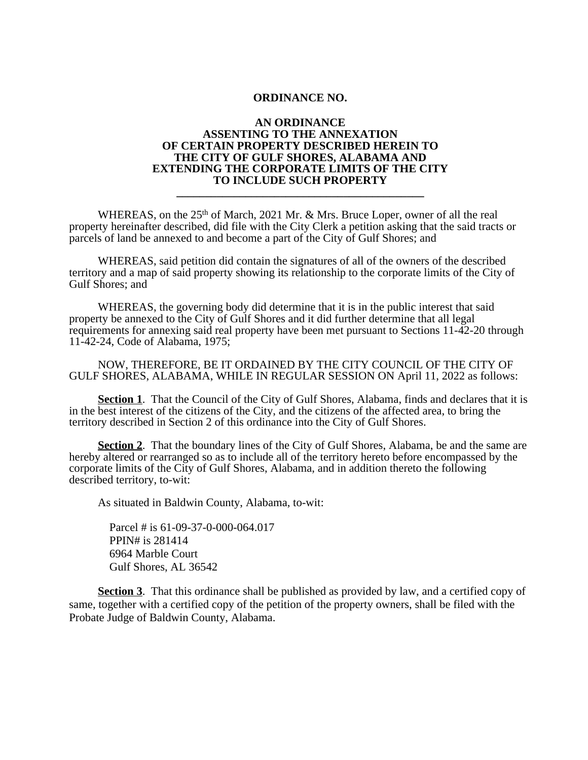#### **AN ORDINANCE ASSENTING TO THE ANNEXATION OF CERTAIN PROPERTY DESCRIBED HEREIN TO THE CITY OF GULF SHORES, ALABAMA AND EXTENDING THE CORPORATE LIMITS OF THE CITY TO INCLUDE SUCH PROPERTY**

**\_\_\_\_\_\_\_\_\_\_\_\_\_\_\_\_\_\_\_\_\_\_\_\_\_\_\_\_\_\_\_\_\_\_\_\_\_\_\_\_\_\_\_**

WHEREAS, on the 25<sup>th</sup> of March, 2021 Mr. & Mrs. Bruce Loper, owner of all the real property hereinafter described, did file with the City Clerk a petition asking that the said tracts or parcels of land be annexed to and become a part of the City of Gulf Shores; and

WHEREAS, said petition did contain the signatures of all of the owners of the described territory and a map of said property showing its relationship to the corporate limits of the City of Gulf Shores; and

WHEREAS, the governing body did determine that it is in the public interest that said property be annexed to the City of Gulf Shores and it did further determine that all legal requirements for annexing said real property have been met pursuant to Sections 11-42-20 through 11-42-24, Code of Alabama, 1975;

 NOW, THEREFORE, BE IT ORDAINED BY THE CITY COUNCIL OF THE CITY OF GULF SHORES, ALABAMA, WHILE IN REGULAR SESSION ON April 11, 2022 as follows:

**Section 1.** That the Council of the City of Gulf Shores, Alabama, finds and declares that it is in the best interest of the citizens of the City, and the citizens of the affected area, to bring the territory described in Section 2 of this ordinance into the City of Gulf Shores.

**Section 2.** That the boundary lines of the City of Gulf Shores, Alabama, be and the same are hereby altered or rearranged so as to include all of the territory hereto before encompassed by the corporate limits of the City of Gulf Shores, Alabama, and in addition thereto the following described territory, to-wit:

As situated in Baldwin County, Alabama, to-wit:

 Parcel # is 61-09-37-0-000-064.017 PPIN# is 281414 6964 Marble Court Gulf Shores, AL 36542

**Section 3**. That this ordinance shall be published as provided by law, and a certified copy of same, together with a certified copy of the petition of the property owners, shall be filed with the Probate Judge of Baldwin County, Alabama.